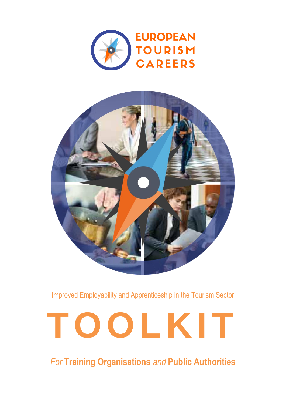



Improved Employability and Apprenticeship in the Tourism Sector

# **TOOLKIT**

*For* **Training Organisations** *and* **Public Authorities**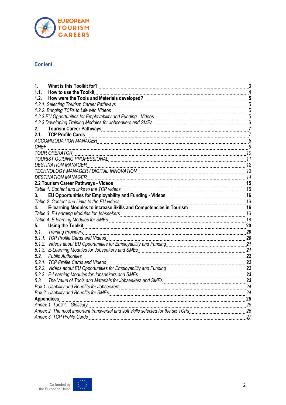

#### **Content**

| 1.                                                                                                                                                                                                                |    |
|-------------------------------------------------------------------------------------------------------------------------------------------------------------------------------------------------------------------|----|
| 1.1.<br>How to use the Toolkit                                                                                                                                                                                    |    |
| 1.2.                                                                                                                                                                                                              |    |
|                                                                                                                                                                                                                   |    |
| 1.2.2. Bringing TCPs to Life with Videos                                                                                                                                                                          |    |
|                                                                                                                                                                                                                   |    |
|                                                                                                                                                                                                                   |    |
| 2.                                                                                                                                                                                                                |    |
| 2.1.                                                                                                                                                                                                              |    |
|                                                                                                                                                                                                                   |    |
| <b>CHEF</b>                                                                                                                                                                                                       |    |
| <b>TOUR OPERATOR</b>                                                                                                                                                                                              |    |
| TOURIST GUIDING PROFESSIONAL CONTENT CONTENTS ON A 11 YO F REAL PROPERTY.                                                                                                                                         |    |
| DESTINATION MANAGER                                                                                                                                                                                               | 12 |
|                                                                                                                                                                                                                   | 13 |
| <b>DESTINATION MANAGER</b>                                                                                                                                                                                        | 14 |
| 2.2 Tourism Career Pathways - Videos <b>Commission Care and The Care and Times and Times and Times and Times and T</b>                                                                                            | 15 |
|                                                                                                                                                                                                                   |    |
| EU Opportunities for Employability and Funding - Videos [11, 2010] U. 2010 [16] T. 2010<br>3.                                                                                                                     |    |
| Table 2. Content and Links to the EU videos <b>Contenting the COVID-16</b> 4. Content and Links to the EU videos <b>COVID-16</b> 4. Content and Links to increase Skills and Competencies in Tourism <b>19 16</b> |    |
|                                                                                                                                                                                                                   |    |
|                                                                                                                                                                                                                   |    |
|                                                                                                                                                                                                                   |    |
| <b>Using the Toolkit</b><br>5.                                                                                                                                                                                    | 20 |
| 5.1.<br><b>Training Providers</b>                                                                                                                                                                                 | 20 |
| 5.1.1. TCP Profile Cards and Videos                                                                                                                                                                               | 20 |
|                                                                                                                                                                                                                   | 21 |
|                                                                                                                                                                                                                   | 21 |
| 5.2.<br><b>Public Authorities</b>                                                                                                                                                                                 | 22 |
| 5.2.1. TCP Profile Cards and Videos                                                                                                                                                                               | 22 |
|                                                                                                                                                                                                                   | 22 |
|                                                                                                                                                                                                                   |    |
|                                                                                                                                                                                                                   |    |
|                                                                                                                                                                                                                   | 24 |
|                                                                                                                                                                                                                   | 24 |
| <b>Appendices</b>                                                                                                                                                                                                 | 25 |
| Annex 1. Toolkit - Glossary                                                                                                                                                                                       | 25 |
|                                                                                                                                                                                                                   |    |
| Annex 3. TCP Profile Cards                                                                                                                                                                                        | 27 |

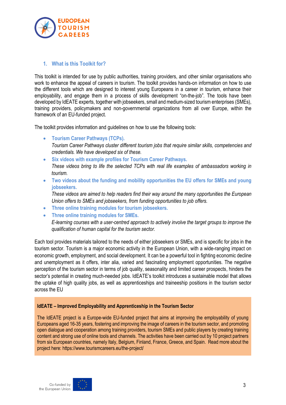

#### <span id="page-2-0"></span>**1. What is this Toolkit for?**

This toolkit is intended for use by public authorities, training providers, and other similar organisations who work to enhance the appeal of careers in tourism. The toolkit provides hands-on information on how to use the different tools which are designed to interest young Europeans in a career in tourism, enhance their employability, and engage them in a process of skills development "on-the-job". The tools have been developed by IdEATE experts, together with jobseekers, small and medium-sized tourism enterprises (SMEs), training providers, policymakers and non-governmental organizations from all over Europe, within the framework of an EU-funded project.

The toolkit provides information and guidelines on how to use the following tools:

- **Tourism Career Pathways (TCPs).** *Tourism Career Pathways cluster different tourism jobs that require similar skills, competencies and credentials. We have developed six of these.*
- **Six videos with example profiles for Tourism Career Pathways.** *These videos bring to life the selected TCPs with real life examples of ambassadors working in tourism.*
- **Two videos about the funding and mobility opportunities the EU offers for SMEs and young jobseekers.**

*These videos are aimed to help readers find their way around the many opportunities the European Union offers to SMEs and jobseekers, from funding opportunities to job offers.*

- **Three online training modules for tourism jobseekers.**
- **Three online training modules for SMEs.**

*E-learning courses with a user-centred approach to actively involve the target groups to improve the qualification of human capital for the tourism sector.* 

Each tool provides materials tailored to the needs of either jobseekers or SMEs, and is specific for jobs in the tourism sector. Tourism is a major economic activity in the European Union, with a wide-ranging impact on economic growth, employment, and social development. It can be a powerful tool in fighting economic decline and unemployment as it offers, inter alia, varied and fascinating employment opportunities. The negative perception of the tourism sector in terms of job quality, seasonality and limited career prospects, hinders the sector's potential in creating much-needed jobs. IdEATE's toolkit introduces a sustainable model that allows the uptake of high quality jobs, as well as apprenticeships and traineeship positions in the tourism sector across the EU

#### **IdEATE – Improved Employability and Apprenticeship in the Tourism Sector**

The IdEATE project is a Europe-wide EU-funded project that aims at improving the employability of young Europeans aged 16-35 years, fostering and improving the image of careers in the tourism sector, and promoting open dialogue and cooperation among training providers, tourism SMEs and public players by creating training content and strong use of online tools and channels. The activities have been carried out by 10 project partners from six European countries, namely Italy, Belgium, Finland, France, Greece, and Spain. Read more about the project here: https://www.tourismcareers.eu/the-project/

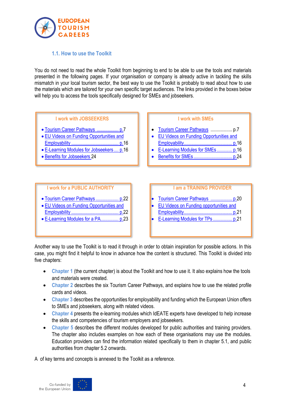

#### **1.1. How to use the Toolkit**

<span id="page-3-0"></span>You do not need to read the whole Toolkit from beginning to end to be able to use the tools and materials presented in the following pages. If your organisation or company is already active in tackling the skills mismatch in your local tourism sector, the best way to use the Toolkit is probably to read about how to use the materials which are tailored for your own specific target audiences. The links provided in the boxes below will help you to access the tools specifically designed for SMEs and jobseekers.



- [Employability](#page-21-2) ....................................... [p.22](#page-21-2)
- [E-Learning Modules for a PA.](#page-22-0).............. [p.23](#page-22-0)

# [Employability.](#page-20-0)....................................... p[.21](#page-20-0)

• [E-Learning Modules for TPs](#page-20-1) ................ p[.21](#page-20-1)

Another way to use the Toolkit is to read it through in order to obtain inspiration for possible actions. In this case, you might find it helpful to know in advance how the content is structured. This Toolkit is divided into five chapters:

- **Chapter 1** (the current chapter) is about the Toolkit and how to use it. It also explains how the tools and materials were created.
- **Chapter 2** describes the six Tourism Career Pathways, and explains how to use the related profile cards and videos.
- **Chapter 3** describes the opportunities for employability and funding which the European Union offers to SMEs and jobseekers, along with related videos.
- Chapter 4 presents the e-learning modules which IdEATE experts have developed to help increase the skills and competencies of tourism employers and jobseekers.
- **Chapter 5** describes the different modules developed for public authorities and training providers. The chapter also includes examples on how each of these organisations may use the modules. Education providers can find the information related specifically to them in chapter 5.1, and public authorities from chapter 5.2 onwards.

A of key terms and concepts is annexed to the Toolkit as a reference.

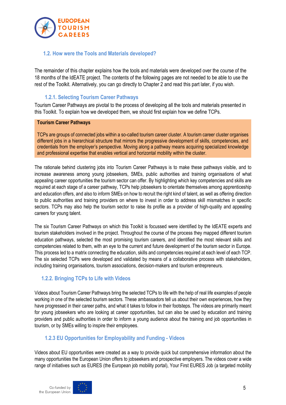

#### <span id="page-4-0"></span>**1.2. How were the Tools and Materials developed?**

The remainder of this chapter explains how the tools and materials were developed over the course of the 18 months of the IdEATE project. The contents of the following pages are not needed to be able to use the rest of the Toolkit. Alternatively, you can go directly to Chapter 2 and read this part later, if you wish.

#### **1.2.1. Selecting Tourism Career Pathways**

<span id="page-4-1"></span>Tourism Career Pathways are pivotal to the process of developing all the tools and materials presented in this Toolkit. To explain how we developed them, we should first explain how we define TCPs.

#### **Tourism Career Pathways**

TCPs are groups of connected jobs within a so-called tourism career cluster. A tourism career cluster organises different jobs in a hierarchical structure that mirrors the progressive development of skills, competencies, and credentials from the employer's perspective. Moving along a pathway means acquiring specialized knowledge and professional expertise that enables vertical and horizontal mobility within the cluster.

The rationale behind clustering jobs into Tourism Career Pathways is to make these pathways visible, and to increase awareness among young jobseekers, SMEs, public authorities and training organisations of what appealing career opportunities the tourism sector can offer. By highlighting which key competencies and skills are required at each stage of a career pathway, TCPs help jobseekers to orientate themselves among apprenticeship and education offers, and also to inform SMEs on how to recruit the right kind of talent, as well as offering direction to public authorities and training providers on where to invest in order to address skill mismatches in specific sectors. TCPs may also help the tourism sector to raise its profile as a provider of high-quality and appealing careers for young talent.

The six Tourism Career Pathways on which this Toolkit is focussed were identified by the IdEATE experts and tourism stakeholders involved in the project. Throughout the course of the process they mapped different tourism education pathways, selected the most promising tourism careers, and identified the most relevant skills and competencies related to them, with an eye to the current and future development of the tourism sector in Europe. This process led to a matrix connecting the education, skills and competencies required at each level of each TCP. The six selected TCPs were developed and validated by means of a collaborative process with stakeholders, including training organisations, tourism associations, decision-makers and tourism entrepreneurs.

#### <span id="page-4-2"></span>**1.2.2. Bringing TCPs to Life with Videos**

Videos about Tourism Career Pathways bring the selected TCPs to life with the help of real life examples of people working in one of the selected tourism sectors. These ambassadors tell us about their own experiences, how they have progressed in their career paths, and what it takes to follow in their footsteps. The videos are primarily meant for young jobseekers who are looking at career opportunities, but can also be used by education and training providers and public authorities in order to inform a young audience about the training and job opportunities in tourism, or by SMEs willing to inspire their employees.

#### <span id="page-4-3"></span>**1.2.3 EU Opportunities for Employability and Funding - Videos**

Videos about EU opportunities were created as a way to provide quick but comprehensive information about the many opportunities the European Union offers to jobseekers and prospective employers. The videos cover a wide range of initiatives such as EURES (the European job mobility portal), Your First EURES Job (a targeted mobility

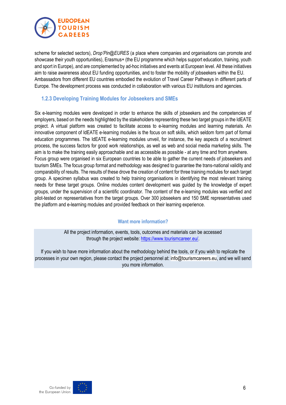

scheme for selected sectors), *Drop'Pin@EURES* (a place where companies and organisations can promote and showcase their youth opportunities), Erasmus+ (the EU programme which helps support education, training, youth and sport in Europe), and are complemented by ad-hoc initiatives and events at European level. All these initiatives aim to raise awareness about EU funding opportunities, and to foster the mobility of jobseekers within the EU. Ambassadors from different EU countries embodied the evolution of Travel Career Pathways in different parts of Europe. The development process was conducted in collaboration with various EU institutions and agencies.

#### <span id="page-5-0"></span>**1.2.3 Developing Training Modules for Jobseekers and SMEs**

Six e-learning modules were developed in order to enhance the skills of jobseekers and the competencies of employers, based on the needs highlighted by the stakeholders representing these two target groups in the IdEATE project. A virtual platform was created to facilitate access to e-learning modules and learning materials. An innovative component of IdEATE e-learning modules is the focus on soft skills, which seldom form part of formal education programmes. The IdEATE e-learning modules unveil, for instance, the key aspects of a recruitment process, the success factors for good work relationships, as well as web and social media marketing skills. The aim is to make the training easily approachable and as accessible as possible - at any time and from anywhere. Focus group were organised in six European countries to be able to gather the current needs of jobseekers and tourism SMEs. The focus group format and methodology was designed to guarantee the trans-national validity and comparability of results. The results of these drove the creation of content for three training modules for each target group. A specimen syllabus was created to help training organisations in identifying the most relevant training needs for these target groups. Online modules content development was guided by the knowledge of expert groups, under the supervision of a scientific coordinator. The content of the e-learning modules was verified and pilot-tested on representatives from the target groups. Over 300 jobseekers and 150 SME representatives used the platform and e-learning modules and provided feedback on their learning experience.

#### **Want more information?**

All the project information, events, tools, outcomes and materials can be accessed through the project website[: https://www.tourismcareer.eu/.](https://www.tourismcareer.eu/)

If you wish to have more information about the methodology behind the tools, or if you wish to replicate the processes in your own region, please contact the project personnel at: [info@tourismcareers.eu,](mailto:info@tourismcareers.eu) and we will send you more information.

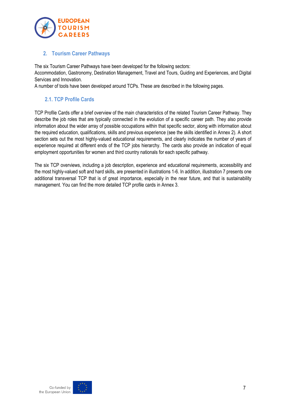

#### <span id="page-6-0"></span>**2. Tourism Career Pathways**

The six Tourism Career Pathways have been developed for the following sectors:

Accommodation, Gastronomy, Destination Management, Travel and Tours, Guiding and Experiences, and Digital Services and Innovation.

A number of tools have been developed around TCPs. These are described in the following pages.

# <span id="page-6-1"></span>**2.1. TCP Profile Cards**

TCP Profile Cards offer a brief overview of the main characteristics of the related Tourism Career Pathway. They describe the job roles that are typically connected in the evolution of a specific career path. They also provide information about the wider array of possible occupations within that specific sector, along with information about the required education, qualifications, skills and previous experience (see the skills identified in Annex 2). A short section sets out the most highly-valued educational requirements, and clearly indicates the number of years of experience required at different ends of the TCP jobs hierarchy. The cards also provide an indication of equal employment opportunities for women and third country nationals for each specific pathway.

The six TCP overviews, including a job description, experience and educational requirements, accessibility and the most highly-valued soft and hard skills, are presented in illustrations 1-6. In addition, illustration 7 presents one additional transversal TCP that is of great importance, especially in the near future, and that is sustainability management. You can find the more detailed TCP profile cards in Annex 3.

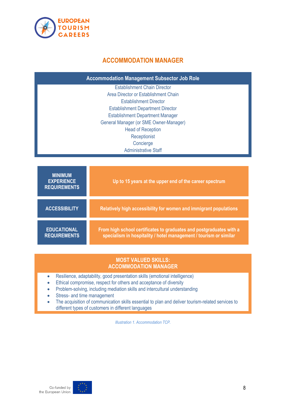<span id="page-7-0"></span>

# **ACCOMMODATION MANAGER**

**Accommodation Management Subsector Job Role**

Establishment Chain Director Area Director or Establishment Chain Establishment Director Establishment Department Director Establishment Department Manager General Manager (or SME Owner-Manager) Head of Reception **Receptionist** Concierge Administrative Staff

| <b>MINIMUM</b><br><b>EXPERIENCE</b><br><b>REQUIREMENTS</b> | Up to 15 years at the upper end of the career spectrum                                                                                   |
|------------------------------------------------------------|------------------------------------------------------------------------------------------------------------------------------------------|
| <b>ACCESSIBILITY</b>                                       | Relatively high accessibility for women and immigrant populations                                                                        |
| <b>EDUCATIONAL</b><br><b>REQUIREMENTS</b>                  | From high school certificates to graduates and postgraduates with a<br>specialism in hospitality / hotel management / tourism or similar |

#### **MOST VALUED SKILLS: ACCOMMODATION MANAGER**

- Resilience, adaptability, good presentation skills (emotional intelligence)
- Ethical compromise, respect for others and acceptance of diversity
- Problem-solving, including mediation skills and intercultural understanding
- Stress- and time management
- The acquisition of communication skills essential to plan and deliver tourism-related services to different types of customers in different languages

*Illustration 1. Accommodation TCP.*

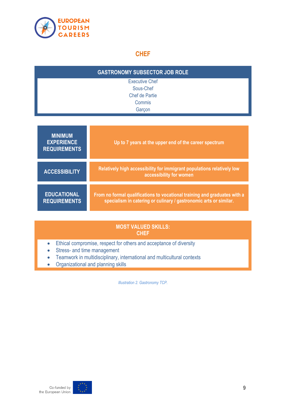

# **CHEF**

<span id="page-8-0"></span>

| <b>GASTRONOMY SUBSECTOR JOB ROLE</b> |  |  |
|--------------------------------------|--|--|
| <b>Executive Chef</b>                |  |  |
| Sous-Chef                            |  |  |
| Chef de Partie                       |  |  |
| Commis                               |  |  |
| Garçon                               |  |  |

| <b>MINIMUM</b><br><b>EXPERIENCE</b><br><b>REQUIREMENTS</b> | Up to 7 years at the upper end of the career spectrum                                                                                          |
|------------------------------------------------------------|------------------------------------------------------------------------------------------------------------------------------------------------|
| <b>ACCESSIBILITY</b>                                       | Relatively high accessibility for immigrant populations relatively low<br>accessibility for women                                              |
| <b>EDUCATIONAL</b><br><b>REQUIREMENTS</b>                  | From no formal qualifications to vocational training and graduates with a<br>specialism in catering or culinary / gastronomic arts or similar. |

# **MOST VALUED SKILLS: CHEF**

- Ethical compromise, respect for others and acceptance of diversity
- Stress- and time management
- Teamwork in multidisciplinary, international and multicultural contexts
- Organizational and planning skills

*Illustration 2. Gastronomy TCP.*

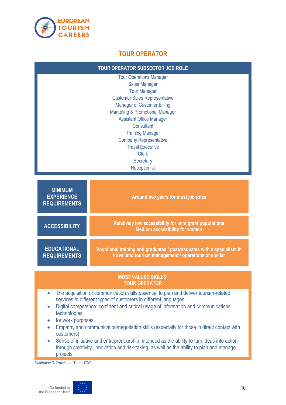

# **TOUR OPERATOR**

<span id="page-9-0"></span>

| <b>TOUR OPERATOR SUBSECTOR JOB ROLE</b>                                                                                                                                                                                                                                                                                                                                                                                                                                                                                                                                                                                                                     |                                                                                                                                 |  |
|-------------------------------------------------------------------------------------------------------------------------------------------------------------------------------------------------------------------------------------------------------------------------------------------------------------------------------------------------------------------------------------------------------------------------------------------------------------------------------------------------------------------------------------------------------------------------------------------------------------------------------------------------------------|---------------------------------------------------------------------------------------------------------------------------------|--|
| <b>Tour Operations Manager</b><br><b>Sales Manager</b><br><b>Tour Manager</b><br><b>Customer Sales Representative</b><br><b>Manager of Customer Billing</b><br><b>Marketing &amp; Promotional Manager</b><br><b>Assistant Office Manager</b><br>Consultant<br><b>Training Manager</b><br><b>Company Representative</b><br><b>Travel Executive</b><br><b>Clerk</b><br>Secretary<br>Receptionist                                                                                                                                                                                                                                                              |                                                                                                                                 |  |
|                                                                                                                                                                                                                                                                                                                                                                                                                                                                                                                                                                                                                                                             |                                                                                                                                 |  |
| <b>MINIMUM</b><br><b>EXPERIENCE</b><br><b>REQUIREMENTS</b>                                                                                                                                                                                                                                                                                                                                                                                                                                                                                                                                                                                                  | Around two years for most job roles                                                                                             |  |
| <b>ACCESSIBILITY</b>                                                                                                                                                                                                                                                                                                                                                                                                                                                                                                                                                                                                                                        | Relatively low accessibility for immigrant populations<br><b>Medium accessibility for women</b>                                 |  |
| <b>EDUCATIONAL</b><br><b>REQUIREMENTS</b>                                                                                                                                                                                                                                                                                                                                                                                                                                                                                                                                                                                                                   | Vocational training and graduates / postgraduates with a specialism in<br>travel and tourism management / operations or similar |  |
| <b>MOST VALUED SKILLS:</b><br><b>TOUR OPERATOR</b>                                                                                                                                                                                                                                                                                                                                                                                                                                                                                                                                                                                                          |                                                                                                                                 |  |
| The acquisition of communication skills essential to plan and deliver tourism-related<br>$\bullet$<br>services to different types of customers in different languages<br>Digital competence: confident and critical usage of information and communications<br>$\bullet$<br>technologies<br>for work purposes<br>Empathy and communication/negotiation skills (especially for those in direct contact with<br>$\bullet$<br>customers)<br>Sense of initiative and entrepreneurship, intended as the ability to turn ideas into action<br>$\bullet$<br>through creativity, innovation and risk-taking, as well as the ability to plan and manage<br>projects. |                                                                                                                                 |  |

*Illustration 3. Travel and Tours TCP*

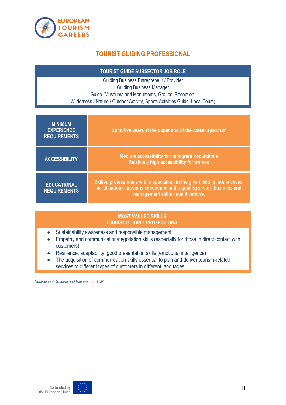<span id="page-10-0"></span>

# **TOURIST GUIDING PROFESSIONAL**

**TOURIST GUIDE SUBSECTOR JOB ROLE**

Guiding Business Entrepreneur / Provider Guiding Business Manager Guide (Museums and Monuments, Groups, Reception, Wilderness / Nature / Outdoor Activity, Sports Activities Guide, Local Tours)

| <b>MINIMUM</b><br><b>EXPERIENCE</b><br><b>REQUIREMENTS</b> | Up to five years at the upper end of the career spectrum                                                                                                                                     |
|------------------------------------------------------------|----------------------------------------------------------------------------------------------------------------------------------------------------------------------------------------------|
| <b>ACCESSIBILITY</b>                                       | <b>Medium accessibility for immigrant populations</b><br>Relatively high accessibility for women                                                                                             |
| <b>EDUCATIONAL</b><br><b>REQUIREMENTS</b>                  | Skilled professionals with a specialism in the given field (in some cases,<br>certification); previous experience in the guiding sector; business and<br>management skills / qualifications. |

#### **MOST VALUED SKILLS: TOURIST GUIDING PROFESSIONAL**

- Sustainability awareness and responsible management
- Empathy and communication/negotiation skills (especially for those in direct contact with customers)
- Resilience, adaptability, good presentation skills (emotional intelligence)
- The acquisition of communication skills essential to plan and deliver tourism-related services to different types of customers in different languages

*Illustration 4. Guiding and Experiences TCP.*

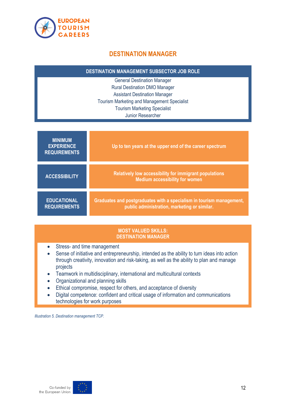<span id="page-11-0"></span>

# **DESTINATION MANAGER**

| <b>DESTINATION MANAGEMENT SUBSECTOR JOB ROLE</b> |  |
|--------------------------------------------------|--|
|                                                  |  |

General Destination Manager Rural Destination DMO Manager Assistant Destination Manager Tourism Marketing and Management Specialist Tourism Marketing Specialist Junior Researcher

| <b>MINIMUM</b><br><b>EXPERIENCE</b><br><b>REQUIREMENTS</b> | Up to ten years at the upper end of the career spectrum                                                              |
|------------------------------------------------------------|----------------------------------------------------------------------------------------------------------------------|
| <b>ACCESSIBILITY</b>                                       | Relatively low accessibility for immigrant populations<br><b>Medium accessibility for women</b>                      |
| <b>EDUCATIONAL</b><br><b>REQUIREMENTS</b>                  | Graduates and postgraduates with a specialism in tourism management,<br>public administration, marketing or similar. |

#### **MOST VALUED SKILLS: DESTINATION MANAGER**

- Stress- and time management
- Sense of initiative and entrepreneurship, intended as the ability to turn ideas into action through creativity, innovation and risk-taking, as well as the ability to plan and manage projects
- Teamwork in multidisciplinary, international and multicultural contexts
- Organizational and planning skills
- Ethical compromise, respect for others, and acceptance of diversity
- Digital competence: confident and critical usage of information and communications technologies for work purposes

*Illustration 5. Destination management TCP.*

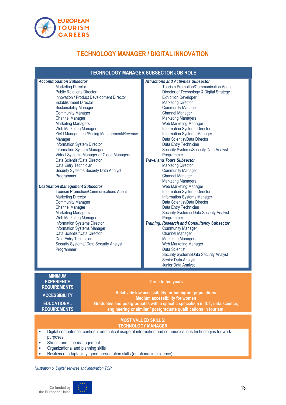

# **TECHNOLOGY MANAGER / DIGITAL INNOVATION**

<span id="page-12-0"></span>

| <b>TECHNOLOGY MANAGER SUBSECTOR JOB ROLE</b>                                                                                                                                                                                                                                                                                                                                                                                                                                                                                                                                                                                                                                                                                                                                                                                                                                                                                                                                                                                                 |                                                                                                                                                                                                                                                                           |                                                                                                                                                                                                                                                                                                                                                                                                                                                                                                                                                                                                                                                                                                                                                                                                                                                                                                                                                                                                                                                                                                                                              |
|----------------------------------------------------------------------------------------------------------------------------------------------------------------------------------------------------------------------------------------------------------------------------------------------------------------------------------------------------------------------------------------------------------------------------------------------------------------------------------------------------------------------------------------------------------------------------------------------------------------------------------------------------------------------------------------------------------------------------------------------------------------------------------------------------------------------------------------------------------------------------------------------------------------------------------------------------------------------------------------------------------------------------------------------|---------------------------------------------------------------------------------------------------------------------------------------------------------------------------------------------------------------------------------------------------------------------------|----------------------------------------------------------------------------------------------------------------------------------------------------------------------------------------------------------------------------------------------------------------------------------------------------------------------------------------------------------------------------------------------------------------------------------------------------------------------------------------------------------------------------------------------------------------------------------------------------------------------------------------------------------------------------------------------------------------------------------------------------------------------------------------------------------------------------------------------------------------------------------------------------------------------------------------------------------------------------------------------------------------------------------------------------------------------------------------------------------------------------------------------|
| <b>Accommodation Subsector</b><br><b>Marketing Director</b><br><b>Public Relations Director</b><br>Innovation / Product Development Director<br><b>Establishment Director</b><br><b>Sustainability Manager</b><br><b>Community Manager</b><br><b>Channel Manager</b><br><b>Marketing Managers</b><br>Web Marketing Manager<br>Yield Management/Pricing Management/Revenue<br>Manager<br>Information System Director<br>Information System Manager<br>Virtual Systems Manager or Cloud Managers<br>Data Scientist/Data Director<br>Data Entry Technician<br>Security Systems/Security Data Analyst<br>Programmer<br><b>Destination Management Subsector</b><br><b>Tourism Promotion/Communications Agent</b><br><b>Marketing Director</b><br><b>Community Manager</b><br><b>Channel Manager</b><br><b>Marketing Managers</b><br>Web Marketing Manager<br>Information Systems Director<br><b>Information Systems Manager</b><br>Data Scientist/Data Director<br>Data Entry Technician<br>Security Systems/ Data Security Analyst<br>Programmer |                                                                                                                                                                                                                                                                           | <b>Attractions and Activities Subsector</b><br>Tourism Promotion/Communication Agent<br>Director of Technology & Digital Strategy<br><b>Exhibition Developer</b><br><b>Marketing Director</b><br><b>Community Manager</b><br><b>Channel Manager</b><br><b>Marketing Managers</b><br>Web Marketing Manager<br><b>Information Systems Director</b><br>Information Systems Manager<br>Data Scientist/Data Director<br>Data Entry Technician<br>Security Systems/Security Data Analyst<br>Programmer<br><b>Travel and Tours Subsector</b><br><b>Marketing Director</b><br><b>Community Manager</b><br><b>Channel Manager</b><br><b>Marketing Managers</b><br>Web Marketing Manager<br>Information Systems Director<br>Information Systems Manager<br>Data Scientist/Data Director<br>Data Entry Technician<br>Security Systems/ Data Security Analyst<br>Programmer<br><b>Training, Research and Consultancy Subsector</b><br><b>Community Manager</b><br><b>Channel Manager</b><br><b>Marketing Managers</b><br>Web Marketing Manager<br>Data Scientist<br>Security Systems/Data Security Analyst<br>Senior Data Analyst<br>Junior Data Analyst |
| <b>MINIMUM</b><br><b>EXPERIENCE</b><br><b>REQUIREMENTS</b><br><b>ACCESSIBILITY</b><br><b>EDUCATIONAL</b><br><b>REQUIREMENTS</b>                                                                                                                                                                                                                                                                                                                                                                                                                                                                                                                                                                                                                                                                                                                                                                                                                                                                                                              | Three to ten years<br>Relatively low accessibility for immigrant populations<br><b>Medium accessibility for women</b><br>Graduates and postgraduates with a specific specialism in ICT, data science,<br>engineering or similar / postgraduate qualifications in tourism. |                                                                                                                                                                                                                                                                                                                                                                                                                                                                                                                                                                                                                                                                                                                                                                                                                                                                                                                                                                                                                                                                                                                                              |
| <b>MOST VALUED SKILLS:</b><br><b>TECHNOLOGY MANAGER</b>                                                                                                                                                                                                                                                                                                                                                                                                                                                                                                                                                                                                                                                                                                                                                                                                                                                                                                                                                                                      |                                                                                                                                                                                                                                                                           |                                                                                                                                                                                                                                                                                                                                                                                                                                                                                                                                                                                                                                                                                                                                                                                                                                                                                                                                                                                                                                                                                                                                              |
| Digital competence: confident and critical usage of information and communications technologies for work<br>purposes                                                                                                                                                                                                                                                                                                                                                                                                                                                                                                                                                                                                                                                                                                                                                                                                                                                                                                                         |                                                                                                                                                                                                                                                                           |                                                                                                                                                                                                                                                                                                                                                                                                                                                                                                                                                                                                                                                                                                                                                                                                                                                                                                                                                                                                                                                                                                                                              |

- Stress- and time management
- Organizational and planning skills
- Resilience, adaptability, good presentation skills (emotional intelligence)

*Illustration 6. Digital services and innovation TCP*

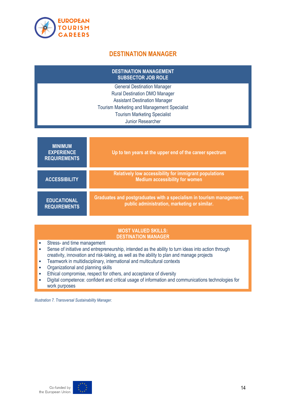

# **DESTINATION MANAGER**

<span id="page-13-0"></span>

| <b>DESTINATION MANAGEMENT</b><br><b>SUBSECTOR JOB ROLE</b>                                 |                                                                                                                      |  |
|--------------------------------------------------------------------------------------------|----------------------------------------------------------------------------------------------------------------------|--|
| <b>General Destination Manager</b>                                                         |                                                                                                                      |  |
| <b>Rural Destination DMO Manager</b>                                                       |                                                                                                                      |  |
| <b>Assistant Destination Manager</b><br><b>Tourism Marketing and Management Specialist</b> |                                                                                                                      |  |
| <b>Tourism Marketing Specialist</b>                                                        |                                                                                                                      |  |
| Junior Researcher                                                                          |                                                                                                                      |  |
|                                                                                            |                                                                                                                      |  |
| <b>MINIMUM</b><br><b>EXPERIENCE</b><br><b>REQUIREMENTS</b>                                 | Up to ten years at the upper end of the career spectrum                                                              |  |
| <b>ACCESSIBILITY</b>                                                                       | Relatively low accessibility for immigrant populations<br><b>Medium accessibility for women</b>                      |  |
| <b>EDUCATIONAL</b><br><b>REQUIREMENTS</b>                                                  | Graduates and postgraduates with a specialism in tourism management,<br>public administration, marketing or similar. |  |

#### **MOST VALUED SKILLS: DESTINATION MANAGER**

- Stress- and time management
- Sense of initiative and entrepreneurship, intended as the ability to turn ideas into action through creativity, innovation and risk-taking, as well as the ability to plan and manage projects
- Teamwork in multidisciplinary, international and multicultural contexts
- Organizational and planning skills
- Ethical compromise, respect for others, and acceptance of diversity
- Digital competence: confident and critical usage of information and communications technologies for work purposes

*Illustration 7. Transversal Sustainability Manager.*

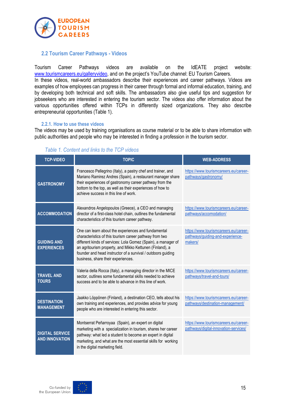

#### <span id="page-14-0"></span>**2.2 Tourism Career Pathways - Videos**

Tourism Career Pathways videos are available on the IdEATE project website: [www.tourismcareers.eu/galleryvideo,](file:///C:/Users/v.croce/Dropbox/Jobs/IdEATE/Toolkit/www.tourismcareers.eu/galleryvideo) and on the project's YouTube channel: [EU Tourism Careers.](https://www.youtube.com/channel/UC4doWDrgmPeXYAtLngAb5gA) In these videos, real-world ambassadors describe their experiences and career pathways. Videos are examples of how employees can progress in their career through formal and informal education, training, and

by developing both technical and soft skills. The ambassadors also give useful tips and suggestion for jobseekers who are interested in entering the tourism sector. The videos also offer information about the various opportunities offered within TCPs in differently sized organizations. They also describe entrepreneurial opportunities (Table 1).

#### **2.2.1. How to use these videos**

The videos may be used by training organisations as course material or to be able to share information with public authorities and people who may be interested in finding a profession in the tourism sector.

<span id="page-14-1"></span>

| <b>TCP-VIDEO</b>                                | <b>TOPIC</b>                                                                                                                                                                                                                                                                                                                                      | <b>WEB-ADDRESS</b>                                                                   |
|-------------------------------------------------|---------------------------------------------------------------------------------------------------------------------------------------------------------------------------------------------------------------------------------------------------------------------------------------------------------------------------------------------------|--------------------------------------------------------------------------------------|
| <b>GASTRONOMY</b>                               | Francesco Pellegrino (Italy), a pastry chef and trainer, and<br>Mariano Ramirez Andres (Spain), a restaurant manager share<br>their experiences of gastronomy career pathway from the<br>bottom to the top, as well as their experiences of how to<br>achieve success in this line of work.                                                       | https://www.tourismcareers.eu/career-<br>pathways/gastronomy/                        |
| <b>ACCOMMODATION</b>                            | Alexandros Angelopoulos (Greece), a CEO and managing<br>director of a first-class hotel chain, outlines the fundamental<br>characteristics of this tourism career pathway.                                                                                                                                                                        | https://www.tourismcareers.eu/career-<br>pathways/accomodation/                      |
| <b>GUIDING AND</b><br><b>EXPERIENCES</b>        | One can learn about the experiences and fundamental<br>characteristics of this tourism career pathway from two<br>different kinds of services: Lola Gomez (Spain), a manager of<br>an agritourism property, and Mikko Kettunen (Finland), a<br>founder and head instructor of a survival / outdoors guiding<br>business, share their experiences. | https://www.tourismcareers.eu/career-<br>pathways/guiding-and-experience-<br>makers/ |
| <b>TRAVEL AND</b><br><b>TOURS</b>               | Valeria della Rocca (Italy), a managing director in the MICE<br>sector, outlines some fundamental skills needed to achieve<br>success and to be able to advance in this line of work.                                                                                                                                                             | https://www.tourismcareers.eu/career-<br>pathways/travel-and-tours/                  |
| <b>DESTINATION</b><br><b>MANAGEMENT</b>         | Jaakko Löppönen (Finland), a destination CEO, tells about his<br>own training and experiences, and provides advice for young<br>people who are interested in entering this sector.                                                                                                                                                                | https://www.tourismcareers.eu/career-<br>pathways/destination-management/            |
| <b>DIGITAL SERVICE</b><br><b>AND INNOVATION</b> | Montserrat Peñarroyaa (Spain), an expert on digital<br>marketing with a specialization in tourism, shares her career<br>pathway: what led a student to become an expert in digital<br>marketing, and what are the most essential skills for working<br>in the digital marketing field.                                                            | https://www.tourismcareers.eu/career-<br>pathways/digital-innovation-services/       |

#### *Table 1. Content and links to the TCP videos*

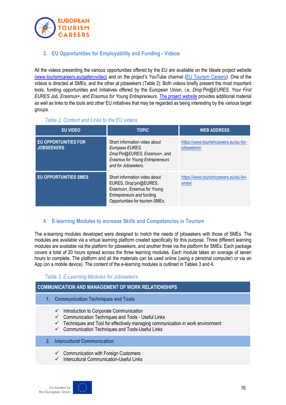

<span id="page-15-0"></span>**3. EU Opportunities for Employability and Funding - Videos**

All the videos presenting the various opportunities offered by the EU are available on the Ideate project website [\(www.tourismcareers.eu/galleryvideo\)](http://(www.tourismcareers.eu/galleryvideo)) and on the project's YouTube channel [\(EU Tourism Careers\)](https://www.youtube.com/channel/UC4doWDrgmPeXYAtLngAb5gA). One of the videos is directed at SMEs, and the other at jobseekers (Table 2). Both videos briefly present the most important tools, funding opportunities and initiatives offered by the European Union, i.e*, Drop'Pin@EURES, Your First EURES Job, Erasmus+,* and *Erasmus for Young Entrepreneurs*. [The project website](https://www.tourismcareers.eu/) provides additional material as well as links to the tools and other EU initiatives that may be regarded as being interesting by the various target groups.

*Table 2. Content and Links to the EU videos*

<span id="page-15-4"></span><span id="page-15-1"></span>

| <b>EU VIDEO</b>                                  | <b>TOPIC.</b>                                                                                                                                          | <b>WEB ADDRESS</b>                                   |
|--------------------------------------------------|--------------------------------------------------------------------------------------------------------------------------------------------------------|------------------------------------------------------|
| <b>EU OPPORTUNITIES FOR</b><br><b>JOBSEEKERS</b> | Short information video about<br>Europass EURES,<br>Drop'Pin@EURES, Erasmus+, and<br><b>Erasmus for Young Entrepreneurs</b><br>and for Jobseekers.     | https://www.tourismcareers.eu/eu-for-<br>jobseekers/ |
| <b>EU OPPORTUNITIES SMES</b>                     | Short information video about<br>EURES, Drop'pin@EURES,<br>Erasmus+, Erasmus for Young<br>Entrepreneurs and funding<br>Opportunities for tourism SMEs. | https://www.tourismcareers.eu/eu-for-<br>smes/       |

#### <span id="page-15-5"></span><span id="page-15-2"></span>**4. E-learning Modules to increase Skills and Competencies in Tourism**

The e-learning modules developed were designed to match the needs of jobseekers with those of SMEs. The modules are available via a virtual learning platform created specifically for this purpose. Three different learning modules are available via the platform for jobseekers, and another three via the platform for SMEs. Each package covers a total of 20 hours spread across the three learning modules. Each module takes an average of seven hours to complete. The platform and all the materials can be used online (using a personal computer) or via an App (on a mobile device). The content of the e-learning modules is outlined in Tables 3 and 4.

#### *Table 3. E-Learning Modules for Jobseekers*

#### <span id="page-15-3"></span>**COMMUNICATION AND MANAGEMENT OF WORK RELATIONSHIPS**

- **1. Communication Techniques and Tools**
	- $\checkmark$  Introduction to Corporate Communication
	- ✓ Communication Techniques and Tools Useful Links
	- $\checkmark$  Techniques and Tool for effectively managing communication in work environment
	- ✓ Communication Techniques and Tools-Useful Links
- **2. Intercultural Communication**
	- ✓ Communication with Foreign Customers
	- ✓ Intercultural Communication-Useful Links

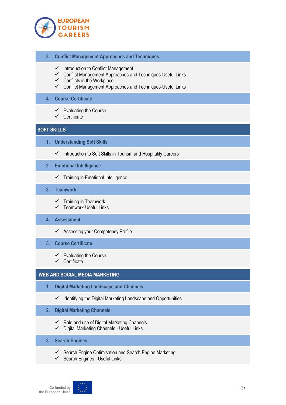

- **3. Conflict Management Approaches and Techniques**
	- $\checkmark$  Introduction to Conflict Management
	- ✓ Conflict Management Approaches and Techniques-Useful Links
	- $\checkmark$  Conflicts in the Workplace
	- $\checkmark$  Conflict Management Approaches and Techniques-Useful Links

#### **4. Course Certificate**

- $\checkmark$  Evaluating the Course
- ✓ Certificate

#### **SOFT SKILLS**

- **1. Understanding Soft Skills**
	- ✓ Introduction to Soft Skills in Tourism and Hospitality Careers

#### **2. Emotional Intelligence**

 $\checkmark$  Training in Emotional Intelligence

#### **3. Teamwork**

- $\checkmark$  Training in Teamwork
- $\checkmark$  Teamwork-Useful Links

#### **4. Assessment**

✓ Assessing your Competency Profile

#### **5. Course Certificate**

- $\checkmark$  Evaluating the Course
- ✓ Certificate

#### **WEB AND SOCIAL MEDIA MARKETING**

- **1. Digital Marketing Landscape and Channels**
	- $\checkmark$  Identifying the Digital Marketing Landscape and Opportunities
- **2. Digital Marketing Channels**
	- ✓ Role and use of Digital Marketing Channels
	- ✓ Digital Marketing Channels Useful Links
- **3. Search Engines**
	- $\checkmark$  Search Engine Optimisation and Search Engine Marketing
	- ✓ Search Engines Useful Links

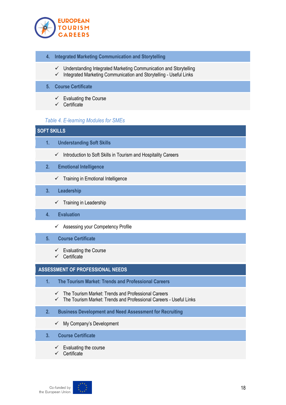

- **4. Integrated Marketing Communication and Storytelling**
	- ✓ Understanding Integrated Marketing Communication and Storytelling
	- $\checkmark$  Integrated Marketing Communication and Storytelling Useful Links

#### **5. Course Certificate**

- $\checkmark$  Evaluating the Course
- $\checkmark$  Certificate

#### *Table 4. E-learning Modules for SMEs*

#### <span id="page-17-0"></span>**SOFT SKILLS**

- **1. Understanding Soft Skills**
	- ✓ Introduction to Soft Skills in Tourism and Hospitality Careers

#### **2. Emotional Intelligence**

- ✓ Training in Emotional Intelligence
- **3. Leadership**
	- $\checkmark$  Training in Leadership
- **4. Evaluation**
	- ✓ Assessing your Competency Profile

#### **5. Course Certificate**

- $\checkmark$  Evaluating the Course
- ✓ Certificate

#### **ASSESSMENT OF PROFESSIONAL NEEDS**

- **1. The Tourism Market: Trends and Professional Careers**
	- ✓ The Tourism Market: Trends and Professional Careers
	- ✓ The Tourism Market: Trends and Professional Careers Useful Links
- **2. Business Development and Need Assessment for Recruiting**
	- $\checkmark$  My Company's Development
- **3. Course Certificate**
	- $\checkmark$  Evaluating the course
	- ✓ Certificate

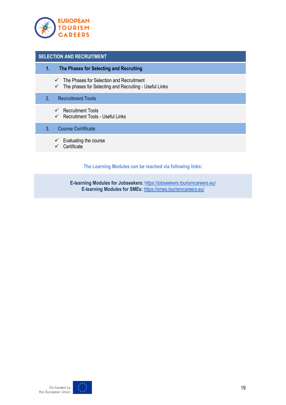

#### **SELECTION AND RECRUITMENT**

- **1. The Phases for Selecting and Recruiting**
	- $\checkmark$  The Phases for Selection and Recruitment
	- $\checkmark$  The phases for Selecting and Recruiting Useful Links

#### **2. Recruitment Tools**

- ✓ Recruitment Tools
- ✓ Recruitment Tools Useful Links

#### **3. Course Certificate**

- $\checkmark$  Evaluating the course
- ✓ Certificate

#### **The Learning Modules can be reached via following links:**

**E-learning Modules for Jobseekers**:<https://jobseekers.tourismcareers.eu/> **E-learning Modules for SMEs**[: https://smes.tourismcareers.eu/](https://smes.tourismcareers.eu/)

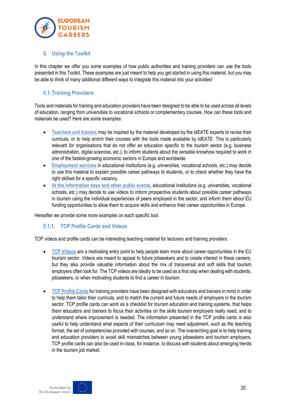

# <span id="page-19-0"></span>**5. Using the Toolkit**

In this chapter we offer you some examples of how public authorities and training providers can use the tools presented in this Toolkit. These examples are just meant to help you get started in using this material, but you may be able to think of many additional different ways to integrate this material into your activities!

# <span id="page-19-1"></span>**5.1.Training Providers**

Tools and materials for training and education providers have been designed to be able to be used across all levels of education, ranging from universities to vocational schools or complementary courses. How can these tools and materials be used? Here are some examples:

- **Teachers and trainers** may be inspired by the material developed by the IdEATE experts to revise their curricula, or to help enrich their courses with the tools made available by IdEATE. This is particularly relevant for organisations that do not offer an education specific to the tourism sector (e.g. business administration, digital sciences, etc.), to inform students about the versatile knowhow required to work in one of the fastest-growing economic sectors in Europe and worldwide.
- **Employment services** in educational institutions (e.g. universities, vocational schools, etc.) may decide to use this material to explain possible career pathways to students, or to check whether they have the right skillset for a specific vacancy.
- **At the information days and other public events**, educational institutions (e.g. universities, vocational schools, etc.) may decide to use videos to inform prospective students about possible career pathways in tourism using the individual experiences of peers employed in the sector, and inform them about EU funding opportunities to allow them to acquire skills and enhance their career opportunities in Europe.

Hereafter we provide some more examples on each specific tool.

#### <span id="page-19-2"></span>**5.1.1. TCP Profile Cards and Videos**

TCP videos and profile cards can be interesting teaching material for lecturers and training providers.

- **TCP Videos** are a motivating entry point to help people learn more about career opportunities in the EU tourism sector. Videos are meant to appeal to future jobseekers and to create interest in these careers, but they also provide valuable information about the mix of transversal and soft skills that tourism employers often look for. The TCP videos are ideally to be used as a first step when dealing with students, jobseekers, or when motivating students to find a career in tourism.
- **TCP Profile Cards** for training providers have been designed with educators and trainers in mind in order to help them tailor their curricula, and to match the current and future needs of employers in the tourism sector. TCP profile cards can work as a checklist for tourism education and training systems, that helps them educators and trainers to focus their activities on the skills tourism employers really need, and to understand where improvement is needed. The information presented in the TCP profile cards is also useful to help understand what aspects of their curriculum may need adjustment, such as the teaching format, the set of competencies provided with courses, and so on. The overarching goal is to help training and education providers to avoid skill mismatches between young jobseekers and tourism employers. TCP profile cards can also be used in-class, for instance, to discuss with students about emerging trends in the tourism job market.



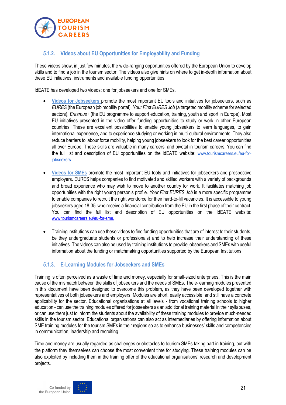

# <span id="page-20-0"></span>**5.1.2. Videos about EU Opportunities for Employability and Funding**

These videos show, in just few minutes, the wide-ranging opportunities offered by the European Union to develop skills and to find a job in the tourism sector. The videos also give hints on where to get in-depth information about these EU initiatives, instruments and available funding opportunities.

IdEATE has developed two videos: one for jobseekers and one for SMEs.

- **Videos for Jobseekers** promote the most important EU tools and initiatives for jobseekers, such as *EURES* (the European job mobility portal), *Your First EURES Job* (a targeted mobility scheme for selected sectors), *Erasmus+* (the EU programme to support education, training, youth and sport in Europe). Most EU initiatives presented in the video offer funding opportunities to study or work in other European countries. These are excellent possibilities to enable young jobseekers to learn languages, to gain international experience, and to experience studying or working in multi-cultural environments. They also reduce barriers to labour force mobility, helping young jobseekers to look for the best career opportunities all over Europe. These skills are valuable in many careers, and pivotal in tourism careers. You can find the full list and description of EU opportunities on the IdEATE website: [www.tourismcareers.eu/eu-for](https://www.tourismcareers.eu/eu-for-sme.)[jobseekers.](https://www.tourismcareers.eu/eu-for-sme.)
- **Videos for SMEs** promote the most important EU tools and initiatives for jobseekers and prospective employers. EURES helps companies to find motivated and skilled workers with a variety of backgrounds and broad experience who may wish to move to another country for work. It facilitates matching job opportunities with the right young person's profile. *Your First EURES Job* is a more specific programme to enable companies to recruit the right workforce for their hard-to-fill vacancies. It is accessible to young jobseekers aged 18-35 who receive a financial contribution from the EU in the first phase of their contract. You can find the full list and description of EU opportunities on the IdEATE website: [www.tourismcareers.eu/eu-for-sme.](https://www.tourismcareers.eu/eu-for-sme.)
- Training institutions can use these videos to find funding opportunities that are of interest to their students, be they undergraduate students or professionals) and to help increase their understanding of these initiatives. The videos can also be used by training institutions to provide jobseekers and SMEs with useful information about the funding or matchmaking opportunities supported by the European Institutions.

#### <span id="page-20-1"></span>**5.1.3. E-Learning Modules for Jobseekers and SMEs**

Training is often perceived as a waste of time and money, especially for small-sized enterprises. This is the main cause of the mismatch between the skills of jobseekers and the needs of SMEs. The e-learning modules presented in this document have been designed to overcome this problem, as they have been developed together with representatives of both jobseekers and employers. Modules are short, easily accessible, and still have a concrete applicability for the sector. Educational organisations at all levels - from vocational training schools to higher education - can use the training modules offered for jobseekers as an additional training material in their syllabuses, or can use them just to inform the students about the availability of these training modules to provide much-needed skills in the tourism sector. Educational organisations can also act as intermediaries by offering information about SME training modules for the tourism SMEs in their regions so as to enhance businesses' skills and competencies in communication, leadership and recruiting.

Time and money are usually regarded as challenges or obstacles to tourism SMEs taking part in training, but with the platform they themselves can choose the most convenient time for studying. These training modules can be also exploited by including them in the training offer of the educational organisations' research and development projects.

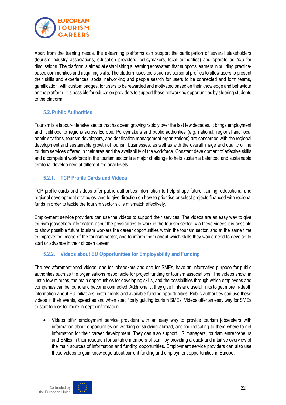

Apart from the training needs, the e-learning platforms can support the participation of several stakeholders (tourism industry associations, education providers, policymakers, local authorities) and operate as *fora* for discussions. The platform is aimed at establishing a learning ecosystem that supports learners in building practicebased communities and acquiring skills. The platform uses tools such as personal profiles to allow users to present their skills and experiences, social networking and people search for users to be connected and form teams, gamification, with custom badges, for users to be rewarded and motivated based on their knowledge and behaviour on the platform. It is possible for education providers to support these networking opportunities by steering students to the platform.

#### <span id="page-21-0"></span>**5.2.Public Authorities**

Tourism is a labour-intensive sector that has been growing rapidly over the last few decades. It brings employment and livelihood to regions across Europe. Policymakers and public authorities (e.g. national, regional and local administrations, tourism developers, and destination management organizations) are concerned with the regional development and sustainable growth of tourism businesses, as well as with the overall image and quality of the tourism services offered in their area and the availability of the workforce. Constant development of effective skills and a competent workforce in the tourism sector is a major challenge to help sustain a balanced and sustainable territorial development at different regional levels.

#### <span id="page-21-1"></span>**5.2.1. TCP Profile Cards and Videos**

TCP profile cards and videos offer public authorities information to help shape future training, educational and regional development strategies, and to give direction on how to prioritise or select projects financed with regional funds in order to tackle the tourism sector skills mismatch effectively.

Employment service providers can use the videos to support their services. The videos are an easy way to give tourism jobseekers information about the possibilities to work in the tourism sector. Via these videos it is possible to show possible future tourism workers the career opportunities within the tourism sector, and at the same time to improve the image of the tourism sector, and to inform them about which skills they would need to develop to start or advance in their chosen career.

### <span id="page-21-2"></span>**5.2.2. Videos about EU Opportunities for Employability and Funding**

The two aforementioned videos, one for jobseekers and one for SMEs, have an informative purpose for public authorities such as the organisations responsible for project funding or tourism associations. The videos show, in just a few minutes, the main opportunities for developing skills, and the possibilities through which employees and companies can be found and become connected. Additionally, they give hints and useful links to get more in-depth information about EU initiatives, instruments and available funding opportunities. Public authorities can use these videos in their events, speeches and when specifically guiding tourism SMEs. Videos offer an easy way for SMEs to start to look for more in-depth information.

• Videos offer employment service providers with an easy way to provide tourism jobseekers with information about opportunities on working or studying abroad, and for indicating to them where to get information for their career development. They can also support HR managers, tourism entrepreneurs and SMEs in their research for suitable members of staff by providing a quick and intuitive overview of the main sources of information and funding opportunities. Employment service providers can also use these videos to gain knowledge about current funding and employment opportunities in Europe.



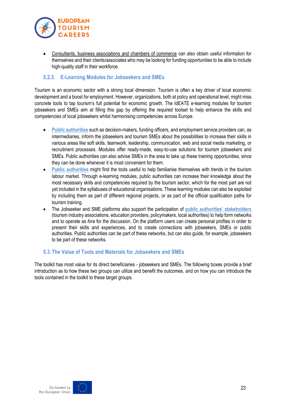

• Consultants, business associations and chambers of commerce can also obtain useful information for themselves and their clients/associates who may be looking for funding opportunities to be able to include high-quality staff in their workforce.

#### <span id="page-22-0"></span>**5.2.3. E-Learning Modules for Jobseekers and SMEs**

Tourism is an economic sector with a strong local dimension. Tourism is often a key driver of local economic development and a boost for employment. However, organizations, both at policy and operational level, might miss concrete tools to tap tourism's full potential for economic growth. The IdEATE e-learning modules for tourism jobseekers and SMEs aim at filling this gap by offering the required toolset to help enhance the skills and competencies of local jobseekers whilst harmonising competencies across Europe.

- **Public authorities** such as decision-makers, funding officers, and employment service providers can, as intermediaries, inform the jobseekers and tourism SMEs about the possibilities to increase their skills in various areas like soft skills, teamwork, leadership, communication, web and social media marketing, or recruitment processes. Modules offer ready-made, easy-to-use solutions for tourism jobseekers and SMEs. Public authorities can also advise SMEs in the area to take up these training opportunities, since they can be done whenever it is most convenient for them.
- Public authorities might find the tools useful to help familiarise themselves with trends in the tourism labour market. Through e-learning modules, public authorities can increase their knowledge about the most necessary skills and competencies required by the tourism sector, which for the most part are not yet included in the syllabuses of educational organisations. These learning modules can also be exploited by including them as part of different regional projects, or as part of the official qualification paths for tourism training.
- The Jobseeker and SME platforms also support the participation of **public authorities' stakeholders** (tourism industry associations, education providers, policymakers, local authorities) to help form networks and to operate as *fora* for the discussion. On the platform users can create personal profiles in order to present their skills and experiences, and to create connections with jobseekers, SMEs or public authorities. Public authorities can be part of these networks, but can also guide, for example, jobseekers to be part of these networks.

#### <span id="page-22-1"></span>**5.3.The Value of Tools and Materials for Jobseekers and SMEs**

The toolkit has most value for its direct beneficiaries - jobseekers and SMEs. The following boxes provide a brief introduction as to how these two groups can utilize and benefit the outcomes, and on how you can introduce the tools contained in the toolkit to these target groups.



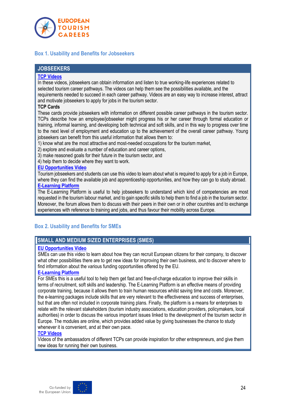

#### <span id="page-23-0"></span>**Box 1. Usability and Benefits for Jobseekers**

#### **JOBSEEKERS**

#### **[TCP Videos](https://www.tourismcareers.eu/galleryvideo/)**

In these videos, jobseekers can obtain information and listen to true working-life experiences related to selected tourism career pathways. The videos can help them see the possibilities available, and the requirements needed to succeed in each career pathway. Videos are an easy way to increase interest, attract and motivate jobseekers to apply for jobs in the tourism sector.

#### **TCP Cards**

These cards provide jobseekers with information on different possible career pathways in the tourism sector. TCPs describe how an employee/jobseeker might progress his or her career through formal education or training, informal learning, and developing both technical and soft skills, and in this way to progress over time to the next level of employment and education up to the achievement of the overall career pathway. Young jobseekers can benefit from this useful information that allows them to:

- 1) know what are the most attractive and most-needed occupations for the tourism market,
- 2) explore and evaluate a number of education and career options,
- 3) make reasoned goals for their future in the tourism sector, and
- 4) help them to decide where they want to work.

#### **[EU Opportunities Video](https://www.youtube.com/watch?v=tuZky7pHL04)**

Tourism jobseekers and students can use this video to learn about what is required to apply for a job in Europe, where they can find the available job and apprenticeship opportunities, and how they can go to study abroad. **[E-Learning Platform](https://jobseekers.tourismcareers.eu/)**

The E-Learning Platform is useful to help jobseekers to understand which kind of competencies are most requested in the tourism labour market, and to gain specific skills to help them to find a job in the tourism sector. Moreover, the forum allows them to discuss with their peers in their own or in other countries and to exchange experiences with reference to training and jobs, and thus favour their mobility across Europe.

#### <span id="page-23-2"></span><span id="page-23-1"></span>**Box 2. Usability and Benefits for SMEs**

#### **SMALL AND MEDIUM SIZED ENTERPRISES (SMES)**

#### **[EU Opportunities Video](https://www.youtube.com/watch?v=i8NKgHhK3HA)**

SMEs can use this video to learn about how they can recruit European citizens for their company, to discover what other possibilities there are to get new ideas for improving their own business, and to discover where to find information about the various funding opportunities offered by the EU.

#### **[E-Learning Platform](https://smes.tourismcareers.eu/)**

For SMEs this is a useful tool to help them get fast and free-of-charge education to improve their skills in terms of recruitment, soft skills and leadership. The E-Learning Platform is an effective means of providing corporate training, because it allows them to train human resources whilst saving time and costs. Moreover, the e-learning packages include skills that are very relevant to the effectiveness and success of enterprises, but that are often not included in corporate training plans. Finally, the platform is a means for enterprises to relate with the relevant stakeholders (tourism industry associations, education providers, policymakers, local authorities) in order to discuss the various important issues linked to the development of the tourism sector in Europe. The modules are online, which provides added value by giving businesses the chance to study whenever it is convenient, and at their own pace.

#### **[TCP Videos](https://www.tourismcareers.eu/galleryvideo/)**

Videos of the ambassadors of different TCPs can provide inspiration for other entrepreneurs, and give them new ideas for running their own business.

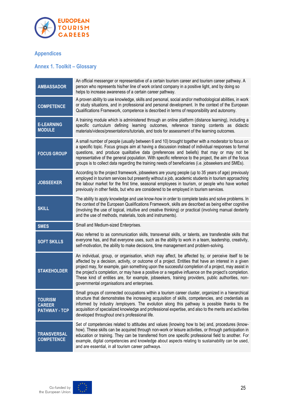

# <span id="page-24-0"></span>**Appendices**

# <span id="page-24-1"></span>**Annex 1. Toolkit – Glossary**

| <b>AMBASSADOR</b>                                       | An official messenger or representative of a certain tourism career and tourism career pathway. A<br>person who represents his/her line of work or/and company in a positive light, and by doing so<br>helps to increase awareness of a certain career pathway.                                                                                                                                                                                                                                                                                                               |
|---------------------------------------------------------|-------------------------------------------------------------------------------------------------------------------------------------------------------------------------------------------------------------------------------------------------------------------------------------------------------------------------------------------------------------------------------------------------------------------------------------------------------------------------------------------------------------------------------------------------------------------------------|
| <b>COMPETENCE</b>                                       | A proven ability to use knowledge, skills and personal, social and/or methodological abilities, in work<br>or study situations, and in professional and personal development. In the context of the European<br>Qualifications Framework, competence is described in terms of responsibility and autonomy.                                                                                                                                                                                                                                                                    |
| <b>E-LEARNING</b><br><b>MODULE</b>                      | A training module which is administered through an online platform (distance learning), including a<br>specific curriculum defining learning outcomes, reference training contents as didactic<br>materials/videos/presentations/tutorials, and tools for assessment of the learning outcomes.                                                                                                                                                                                                                                                                                |
| <b>FOCUS GROUP</b>                                      | A small number of people (usually between 6 and 10) brought together with a moderator to focus on<br>a specific topic. Focus groups aim at having a discussion instead of individual responses to formal<br>questions, and produce qualitative data (preferences and beliefs) that may or may not be<br>representative of the general population. With specific reference to the project, the aim of the focus<br>groups is to collect data regarding the training needs of beneficiaries (i.e. jobseekers and SMEs).                                                         |
| <b>JOBSEEKER</b>                                        | According to the project framework, jobseekers are young people (up to 35 years of age) previously<br>employed in tourism services but presently without a job, academic students in tourism approaching<br>the labour market for the first time, seasonal employees in tourism, or people who have worked<br>previously in other fields, but who are considered to be employed in tourism services.                                                                                                                                                                          |
| <b>SKILL</b>                                            | The ability to apply knowledge and use know-how in order to complete tasks and solve problems. In<br>the context of the European Qualifications Framework, skills are described as being either cognitive<br>(involving the use of logical, intuitive and creative thinking) or practical (involving manual dexterity<br>and the use of methods, materials, tools and instruments).                                                                                                                                                                                           |
| <b>SMES</b>                                             | Small and Medium-sized Enterprises.                                                                                                                                                                                                                                                                                                                                                                                                                                                                                                                                           |
| <b>SOFT SKILLS</b>                                      | Also referred to as communication skills, transversal skills, or talents, are transferable skills that<br>everyone has, and that everyone uses, such as the ability to work in a team, leadership, creativity,<br>self-motivation, the ability to make decisions, time management and problem-solving.                                                                                                                                                                                                                                                                        |
| <b>STAKEHOLDER</b>                                      | An individual, group, or organisation, which may affect, be affected by, or perceive itself to be<br>affected by a decision, activity, or outcome of a project. Entities that have an interest in a given<br>project may, for example, gain something upon the successful completion of a project, may assist in<br>the project's completion, or may have a positive or a negative influence on the project's completion.<br>These kind of entities are, for example, jobseekers, training providers, public authorities, non-<br>governmental organisations and enterprises. |
| <b>TOURISM</b><br><b>CAREER</b><br><b>PATHWAY - TCP</b> | Small groups of connected occupations within a tourism career cluster, organized in a hierarchical<br>structure that demonstrates the increasing acquisition of skills, competencies, and credentials as<br>informed by industry /employers. The evolution along this pathway is possible thanks to the<br>acquisition of specialized knowledge and professional expertise, and also to the merits and activities<br>developed throughout one's professional life.                                                                                                            |
| <b>TRANSVERSAL</b><br><b>COMPETENCE</b>                 | Set of competencies related to attitudes and values (knowing how to be) and, procedures (know-<br>how). These skills can be acquired through non-work or leisure activities, or through participation in<br>education or training. They can be transferred from one specific professional field to another. For<br>example, digital competencies and knowledge about aspects relating to sustainability can be used,<br>and are essential, in all tourism career pathways.                                                                                                    |

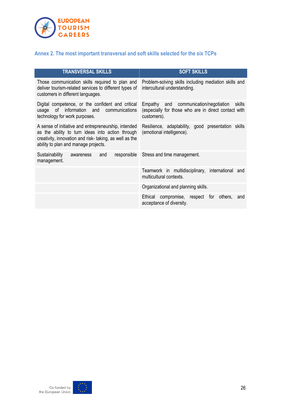

# <span id="page-25-0"></span>**Annex 2. The most important transversal and soft skills selected for the six TCPs**

| <b>TRANSVERSAL SKILLS</b>                                                                                                                                                                                  | <b>SOFT SKILLS</b>                                                                                                        |
|------------------------------------------------------------------------------------------------------------------------------------------------------------------------------------------------------------|---------------------------------------------------------------------------------------------------------------------------|
| Those communication skills required to plan and<br>deliver tourism-related services to different types of<br>customers in different languages.                                                             | Problem-solving skills including mediation skills and<br>intercultural understanding.                                     |
| Digital competence, or the confident and critical<br>information and<br>οf<br>communications<br>usage<br>technology for work purposes.                                                                     | communication/negotiation<br>skills<br>Empathy and<br>(especially for those who are in direct contact with<br>customers). |
| A sense of initiative and entrepreneurship, intended<br>as the ability to turn ideas into action through<br>creativity, innovation and risk-taking, as well as the<br>ability to plan and manage projects. | Resilience, adaptability, good presentation skills<br>(emotional intelligence).                                           |
| Sustainability<br>responsible<br>and<br>awareness<br>management.                                                                                                                                           | Stress and time management.                                                                                               |
|                                                                                                                                                                                                            | Teamwork in multidisciplinary, international and<br>multicultural contexts.                                               |
|                                                                                                                                                                                                            | Organizational and planning skills.                                                                                       |
|                                                                                                                                                                                                            | compromise, respect<br>Ethical<br>for<br>others,<br>and<br>acceptance of diversity.                                       |



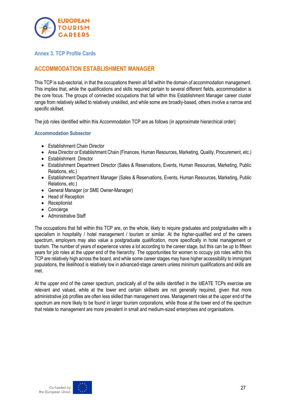

#### <span id="page-26-0"></span>**Annex 3. TCP Profile Cards**

# **ACCOMMODATION ESTABLISHMENT MANAGER**

This TCP is sub-sectorial, in that the occupations therein all fall within the domain of accommodation management. This implies that, while the qualifications and skills required pertain to several different fields, accommodation is the core focus. The groups of connected occupations that fall within this Establishment Manager career cluster range from relatively skilled to relatively unskilled, and while some are broadly-based, others involve a narrow and specific skillset.

The job roles identified within this Accommodation TCP are as follows (in approximate hierarchical order):

#### **Accommodation Subsector**

- Establishment Chain Director
- Area Director or Establishment Chain (Finances, Human Resources, Marketing, Quality, Procurement, etc.)
- Establishment Director
- Establishment Department Director (Sales & Reservations, Events, Human Resources, Marketing, Public Relations, etc.)
- Establishment Department Manager (Sales & Reservations, Events, Human Resources, Marketing, Public Relations, etc.)
- General Manager (or SME Owner-Manager)
- Head of Reception
- Receptionist
- Concierge
- Administrative Staff

The occupations that fall within this TCP are, on the whole, likely to require graduates and postgraduates with a specialism in hospitality / hotel management / tourism or similar. At the higher-qualified end of the careers spectrum, employers may also value a postgraduate qualification, more specifically in hotel management or tourism. The number of years of experience varies a lot according to the career stage, but this can be up to fifteen years for job roles at the upper end of the hierarchy. The opportunities for women to occupy job roles within this TCP are relatively high across the board, and while some career stages may have higher accessibility to immigrant populations, the likelihood is relatively low in advanced-stage careers unless minimum qualifications and skills are met.

At the upper end of the career spectrum, practically all of the skills identified in the IdEATE TCPs exercise are relevant and valued, while at the lower end certain skillsets are not generally required, given that more administrative job profiles are often less skilled than management ones. Management roles at the upper end of the spectrum are more likely to be found in larger tourism corporations, while those at the lower end of the spectrum that relate to management are more prevalent in small and medium-sized enterprises and organisations.



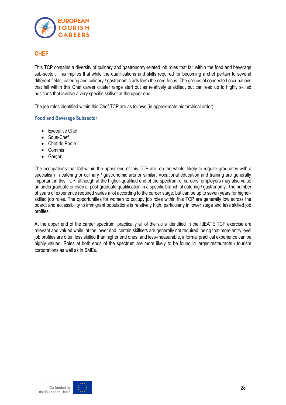

# **CHEF**

This TCP contains a diversity of culinary and gastronomy-related job roles that fall within the food and beverage sub-sector. This implies that while the qualifications and skills required for becoming a chef pertain to several different fields, catering and culinary / gastronomic arts form the core focus. The groups of connected occupations that fall within this Chef career cluster range start out as relatively unskilled, but can lead up to highly skilled positions that involve a very specific skillset at the upper end.

The job roles identified within this Chef TCP are as follows (in approximate hierarchical order):

#### **Food and Beverage Subsector**

- Executive Chef
- Sous-Chef
- Chef de Partie
- Commis
- Garçon

The occupations that fall within the upper end of this TCP are, on the whole, likely to require graduates with a specialism in catering or culinary / gastronomic arts or similar. Vocational education and training are generally important in this TCP, although at the higher-qualified end of the spectrum of careers, employers may also value an undergraduate or even a post-graduate qualification in a specific branch of catering / gastronomy. The number of years of experience required varies a lot according to the career stage, but can be up to seven years for higherskilled job roles. The opportunities for women to occupy job roles within this TCP are generally low across the board, and accessibility to immigrant populations is relatively high, particularly in lower stage and less skilled job profiles.

At the upper end of the career spectrum, practically all of the skills identified in the IdEATE TCP exercise are relevant and valued while, at the lower end, certain skillsets are generally not required, being that more entry level job profiles are often less skilled than higher end ones, and less-measurable, informal practical experience can be highly valued. Roles at both ends of the spectrum are more likely to be found in larger restaurants / tourism corporations as well as in SMEs.



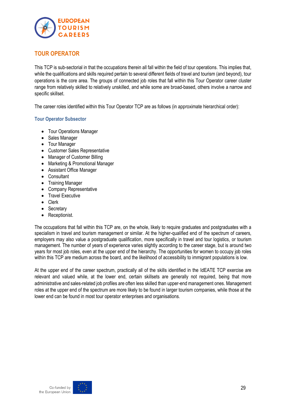

# **TOUR OPERATOR**

This TCP is sub-sectorial in that the occupations therein all fall within the field of tour operations. This implies that, while the qualifications and skills required pertain to several different fields of travel and tourism (and beyond), tour operations is the core area. The groups of connected job roles that fall within this Tour Operator career cluster range from relatively skilled to relatively unskilled, and while some are broad-based, others involve a narrow and specific skillset.

The career roles identified within this Tour Operator TCP are as follows (in approximate hierarchical order):

#### **Tour Operator Subsector**

- Tour Operations Manager
- Sales Manager
- Tour Manager
- Customer Sales Representative
- Manager of Customer Billing
- Marketing & Promotional Manager
- Assistant Office Manager
- Consultant
- Training Manager
- Company Representative
- Travel Executive
- Clerk
- Secretary
- Receptionist.

The occupations that fall within this TCP are, on the whole, likely to require graduates and postgraduates with a specialism in travel and tourism management or similar. At the higher-qualified end of the spectrum of careers, employers may also value a postgraduate qualification, more specifically in travel and tour logistics, or tourism management. The number of years of experience varies slightly according to the career stage, but is around two years for most job roles, even at the upper end of the hierarchy. The opportunities for women to occupy job roles within this TCP are medium across the board, and the likelihood of accessibility to immigrant populations is low.

At the upper end of the career spectrum, practically all of the skills identified in the IdEATE TCP exercise are relevant and valued while, at the lower end, certain skillsets are generally not required, being that more administrative and sales-related job profiles are often less skilled than upper-end management ones. Management roles at the upper end of the spectrum are more likely to be found in larger tourism companies, while those at the lower end can be found in most tour operator enterprises and organisations.

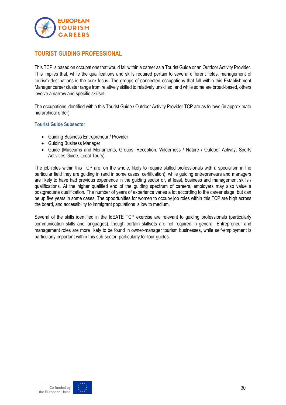

# **TOURIST GUIDING PROFESSIONAL**

This TCP is based on occupations that would fall within a career as a Tourist Guide or an Outdoor Activity Provider. This implies that, while the qualifications and skills required pertain to several different fields, management of tourism destinations is the core focus. The groups of connected occupations that fall within this Establishment Manager career cluster range from relatively skilled to relatively unskilled, and while some are broad-based, others involve a narrow and specific skillset.

The occupations identified within this Tourist Guide / Outdoor Activity Provider TCP are as follows (in approximate hierarchical order):

#### **Tourist Guide Subsector**

- Guiding Business Entrepreneur / Provider
- Guiding Business Manager
- Guide (Museums and Monuments, Groups, Reception, Wilderness / Nature / Outdoor Activity, Sports Activities Guide, Local Tours).

The job roles within this TCP are, on the whole, likely to require skilled professionals with a specialism in the particular field they are guiding in (and in some cases, certification), while guiding entrepreneurs and managers are likely to have had previous experience in the guiding sector or, at least, business and management skills / qualifications. At the higher qualified end of the guiding spectrum of careers, employers may also value a postgraduate qualification. The number of years of experience varies a lot according to the career stage, but can be up five years in some cases. The opportunities for women to occupy job roles within this TCP are high across the board, and accessibility to immigrant populations is low to medium.

Several of the skills identified in the IdEATE TCP exercise are relevant to guiding professionals (particularly communication skills and languages), though certain skillsets are not required in general. Entrepreneur and management roles are more likely to be found in owner-manager tourism businesses, while self-employment is particularly important within this sub-sector, particularly for tour guides.



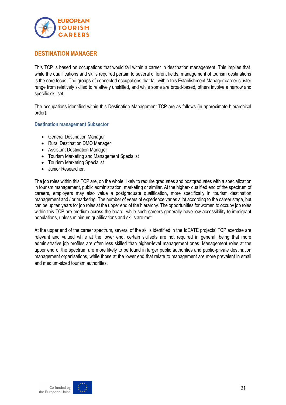

# **DESTINATION MANAGER**

This TCP is based on occupations that would fall within a career in destination management. This implies that, while the qualifications and skills required pertain to several different fields, management of tourism destinations is the core focus. The groups of connected occupations that fall within this Establishment Manager career cluster range from relatively skilled to relatively unskilled, and while some are broad-based, others involve a narrow and specific skillset.

The occupations identified within this Destination Management TCP are as follows (in approximate hierarchical order):

#### **Destination management Subsector**

- General Destination Manager
- Rural Destination DMO Manager
- Assistant Destination Manager
- Tourism Marketing and Management Specialist
- Tourism Marketing Specialist
- Junior Researcher.

The job roles within this TCP are, on the whole, likely to require graduates and postgraduates with a specialization in tourism management, public administration, marketing or similar. At the higher- qualified end of the spectrum of careers, employers may also value a postgraduate qualification, more specifically in tourism destination management and / or marketing. The number of years of experience varies a lot according to the career stage, but can be up ten years for job roles at the upper end of the hierarchy. The opportunities for women to occupy job roles within this TCP are medium across the board, while such careers generally have low accessibility to immigrant populations, unless minimum qualifications and skills are met.

At the upper end of the career spectrum, several of the skills identified in the IdEATE projects' TCP exercise are relevant and valued while at the lower end, certain skillsets are not required in general, being that more administrative job profiles are often less skilled than higher-level management ones. Management roles at the upper end of the spectrum are more likely to be found in larger public authorities and public-private destination management organisations, while those at the lower end that relate to management are more prevalent in small and medium-sized tourism authorities.



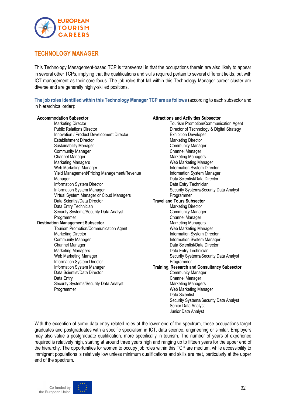

# **TECHNOLOGY MANAGER**

This Technology Management-based TCP is transversal in that the occupations therein are also likely to appear in several other TCPs, implying that the qualifications and skills required pertain to several different fields, but with ICT management as their core focus. The job roles that fall within this Technology Manager career cluster are diverse and are generally highly-skilled positions.

**The job roles identified within this Technology Manager TCP are as follows** (according to each subsector and in hierarchical order):

#### **Accommodation Subsector**

Marketing Director Public Relations Director Innovation / Product Development Director Establishment Director Sustainability Manager Community Manager Channel Manager Marketing Managers Web Marketing Manager Yield Management/Pricing Management/Revenue Manager Information System Director Information System Manager Virtual System Manager or Cloud Managers Data Scientist/Data Director Data Entry Technician Security Systems/Security Data Analyst Programmer **Destination Management Subsector** Tourism Promotion/Communication Agent Marketing Director Community Manager Channel Manager Marketing Managers Web Marketing Manager Information System Director Information System Manager Data Scientist/Data Director Data Entry Security Systems/Security Data Analyst

#### **Attractions and Activities Subsector**

Tourism Promotion/Communication Agent Director of Technology & Digital Strategy Exhibition Developer Marketing Director Community Manager Channel Manager Marketing Managers Web Marketing Manager Information System Director Information System Manager Data Scientist/Data Director Data Entry Technician Security Systems/Security Data Analyst Programmer **Travel and Tours Subsector** Marketing Director Community Manager Channel Manager Marketing Managers Web Marketing Manager Information System Director Information System Manager Data Scientist/Data Director Data Entry Technician Security Systems/Security Data Analyst Programmer **Training, Research and Consultancy Subsector** Community Manager Channel Manager Marketing Managers Web Marketing Manager Data Scientist Security Systems/Security Data Analyst Senior Data Analyst Junior Data Analyst

With the exception of some data entry-related roles at the lower end of the spectrum, these occupations target graduates and postgraduates with a specific specialism in ICT, data science, engineering or similar. Employers may also value a postgraduate qualification, more specifically in tourism. The number of years of experience required is relatively high, starting at around three years high and ranging up to fifteen years for the upper end of the hierarchy. The opportunities for women to occupy job roles within this TCP are medium, while accessibility to immigrant populations is relatively low unless minimum qualifications and skills are met, particularly at the upper end of the spectrum.



**Programmer**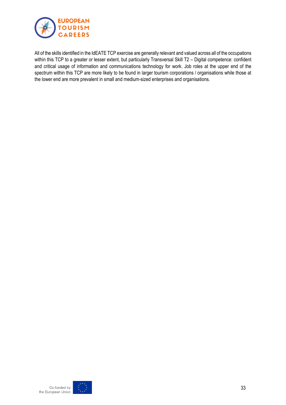

All of the skills identified in the IdEATE TCP exercise are generally relevant and valued across all of the occupations within this TCP to a greater or lesser extent, but particularly Transversal Skill T2 - Digital competence: confident and critical usage of information and communications technology for work. Job roles at the upper end of the spectrum within this TCP are more likely to be found in larger tourism corporations / organisations while those at the lower end are more prevalent in small and medium-sized enterprises and organisations.